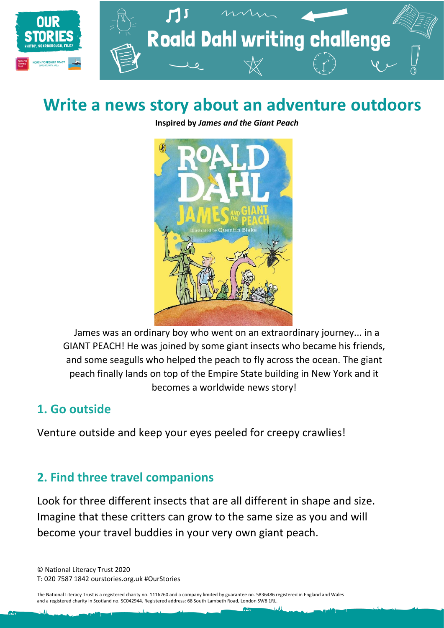

# **Write a news story about an adventure outdoors**

**Inspired by** *James and the Giant Peach*



James was an ordinary boy who went on an extraordinary journey... in a GIANT PEACH! He was joined by some giant insects who became his friends, and some seagulls who helped the peach to fly across the ocean. The giant peach finally lands on top of the Empire State building in New York and it becomes a worldwide news story!

#### **1. Go outside**

Venture outside and keep your eyes peeled for creepy crawlies!

### **2. Find three travel companions**

Look for three different insects that are all different in shape and size. Imagine that these critters can grow to the same size as you and will become your travel buddies in your very own giant peach.

© National Literacy Trust 2020 T: 020 7587 1842 ourstories.org.uk #OurStories

The National Literacy Trust is a registered charity no. 1116260 and a company limited by guarantee no. 5836486 registered in England and Wales and a registered charity in Scotland no. SC042944. Registered address: 68 South Lambeth Road, London SW8 1RL.